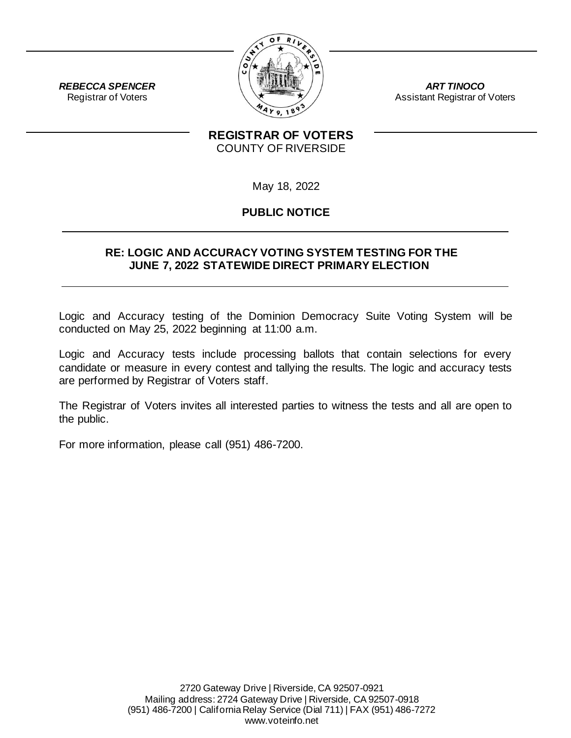

*ART TINOCO* Assistant Registrar of Voters

### **REGISTRAR OF VOTERS** COUNTY OF RIVERSIDE

May 18, 2022

# **PUBLIC NOTICE**

#### **RE: LOGIC AND ACCURACY VOTING SYSTEM TESTING FOR THE JUNE 7, 2022 STATEWIDE DIRECT PRIMARY ELECTION**

Logic and Accuracy testing of the Dominion Democracy Suite Voting System will be conducted on May 25, 2022 beginning at 11:00 a.m.

Logic and Accuracy tests include processing ballots that contain selections for every candidate or measure in every contest and tallying the results. The logic and accuracy tests are performed by Registrar of Voters staff.

The Registrar of Voters invites all interested parties to witness the tests and all are open to the public.

For more information, please call (951) 486-7200.

*REBECCA SPENCER* Registrar of Voters